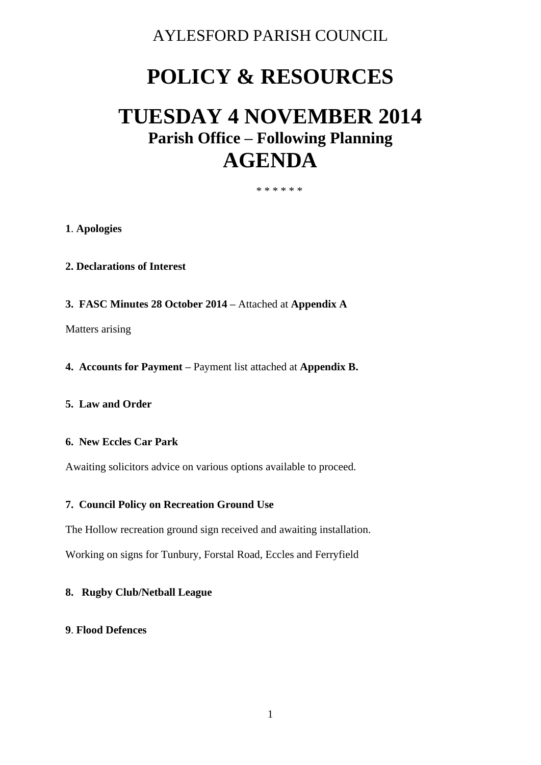### AYLESFORD PARISH COUNCIL

# **POLICY & RESOURCES**

## **TUESDAY 4 NOVEMBER 2014 Parish Office – Following Planning AGENDA**

#### \* \* \* \* \* \*

#### **1**. **Apologies**

- **2. Declarations of Interest**
- **3. FASC Minutes 28 October 2014 –** Attached at **Appendix A**

Matters arising

**4. Accounts for Payment –** Payment list attached at **Appendix B.** 

#### **5. Law and Order**

#### **6. New Eccles Car Park**

Awaiting solicitors advice on various options available to proceed.

#### **7. Council Policy on Recreation Ground Use**

The Hollow recreation ground sign received and awaiting installation.

Working on signs for Tunbury, Forstal Road, Eccles and Ferryfield

#### **8. Rugby Club/Netball League**

#### **9**. **Flood Defences**